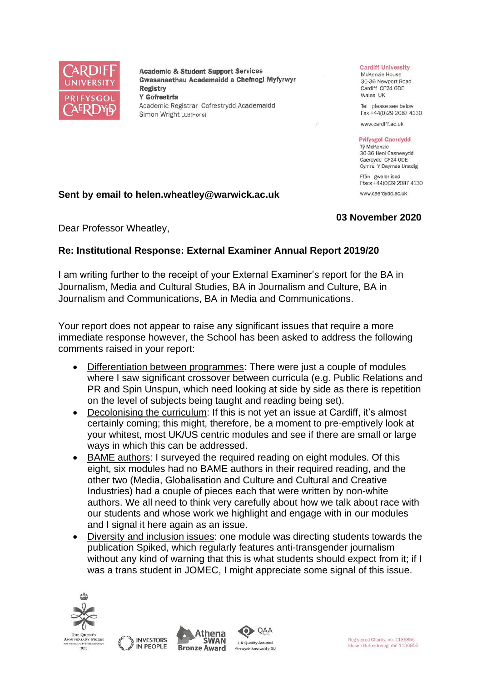

**Academic & Student Support Services** Gwasanaethau Academaidd a Chefnogi Myfyrwyr **Registry** Y Gofrestrfa Academic Registrar Cofrestrydd Academaidd Simon Wright LLB(Hons)

#### **Cardiff University**

McKenzie House 30-36 Newport Road Cardiff CF24 ODE Wales UK

Tel please see below Fax +44(0)29 2087 4130

www.cardiff.ac.uk

#### **Prifysgol Caerdydd**

Tỷ McKenzie 30-36 Heol Casnewydd Caerdydd CF24 ODE Cymru Y Deyrnas Unedig Ffôn gweler isod

Ffacs +44(0)29 2087 4130 www.caerdydd.ac.uk

#### **Sent by email to helen.wheatley@warwick.ac.uk**

## **03 November 2020**

Dear Professor Wheatley,

## **Re: Institutional Response: External Examiner Annual Report 2019/20**

I am writing further to the receipt of your External Examiner's report for the BA in Journalism, Media and Cultural Studies, BA in Journalism and Culture, BA in Journalism and Communications, BA in Media and Communications.

Your report does not appear to raise any significant issues that require a more immediate response however, the School has been asked to address the following comments raised in your report:

- Differentiation between programmes: There were just a couple of modules where I saw significant crossover between curricula (e.g. Public Relations and PR and Spin Unspun, which need looking at side by side as there is repetition on the level of subjects being taught and reading being set).
- Decolonising the curriculum: If this is not yet an issue at Cardiff, it's almost certainly coming; this might, therefore, be a moment to pre-emptively look at your whitest, most UK/US centric modules and see if there are small or large ways in which this can be addressed.
- BAME authors: I surveyed the required reading on eight modules. Of this eight, six modules had no BAME authors in their required reading, and the other two (Media, Globalisation and Culture and Cultural and Creative Industries) had a couple of pieces each that were written by non-white authors. We all need to think very carefully about how we talk about race with our students and whose work we highlight and engage with in our modules and I signal it here again as an issue.
- Diversity and inclusion issues: one module was directing students towards the publication Spiked, which regularly features anti-transgender journalism without any kind of warning that this is what students should expect from it; if I was a trans student in JOMEC, I might appreciate some signal of this issue.

QAA







Registered Charity, no. 1136855 Elusen Gofrestredig, rhif 1136855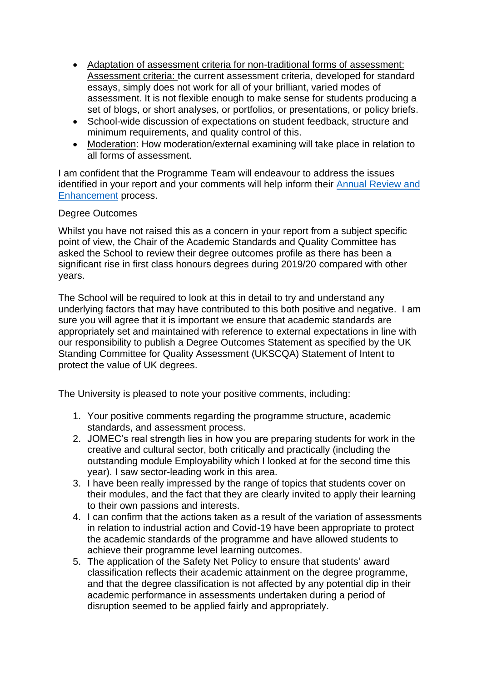- Adaptation of assessment criteria for non-traditional forms of assessment: Assessment criteria: the current assessment criteria, developed for standard essays, simply does not work for all of your brilliant, varied modes of assessment. It is not flexible enough to make sense for students producing a set of blogs, or short analyses, or portfolios, or presentations, or policy briefs.
- School-wide discussion of expectations on student feedback, structure and minimum requirements, and quality control of this.
- Moderation: How moderation/external examining will take place in relation to all forms of assessment.

I am confident that the Programme Team will endeavour to address the issues identified in your report and your comments will help inform their Annual Review and [Enhancement](https://www.cardiff.ac.uk/public-information/quality-and-standards/monitoring-and-review/annual-review-and-enhancement) process.

# Degree Outcomes

Whilst you have not raised this as a concern in your report from a subject specific point of view, the Chair of the Academic Standards and Quality Committee has asked the School to review their degree outcomes profile as there has been a significant rise in first class honours degrees during 2019/20 compared with other years.

The School will be required to look at this in detail to try and understand any underlying factors that may have contributed to this both positive and negative. I am sure you will agree that it is important we ensure that academic standards are appropriately set and maintained with reference to external expectations in line with our responsibility to publish a Degree Outcomes Statement as specified by the UK Standing Committee for Quality Assessment (UKSCQA) Statement of Intent to protect the value of UK degrees.

The University is pleased to note your positive comments, including:

- 1. Your positive comments regarding the programme structure, academic standards, and assessment process.
- 2. JOMEC's real strength lies in how you are preparing students for work in the creative and cultural sector, both critically and practically (including the outstanding module Employability which I looked at for the second time this year). I saw sector-leading work in this area.
- 3. I have been really impressed by the range of topics that students cover on their modules, and the fact that they are clearly invited to apply their learning to their own passions and interests.
- 4. I can confirm that the actions taken as a result of the variation of assessments in relation to industrial action and Covid-19 have been appropriate to protect the academic standards of the programme and have allowed students to achieve their programme level learning outcomes.
- 5. The application of the Safety Net Policy to ensure that students' award classification reflects their academic attainment on the degree programme, and that the degree classification is not affected by any potential dip in their academic performance in assessments undertaken during a period of disruption seemed to be applied fairly and appropriately.